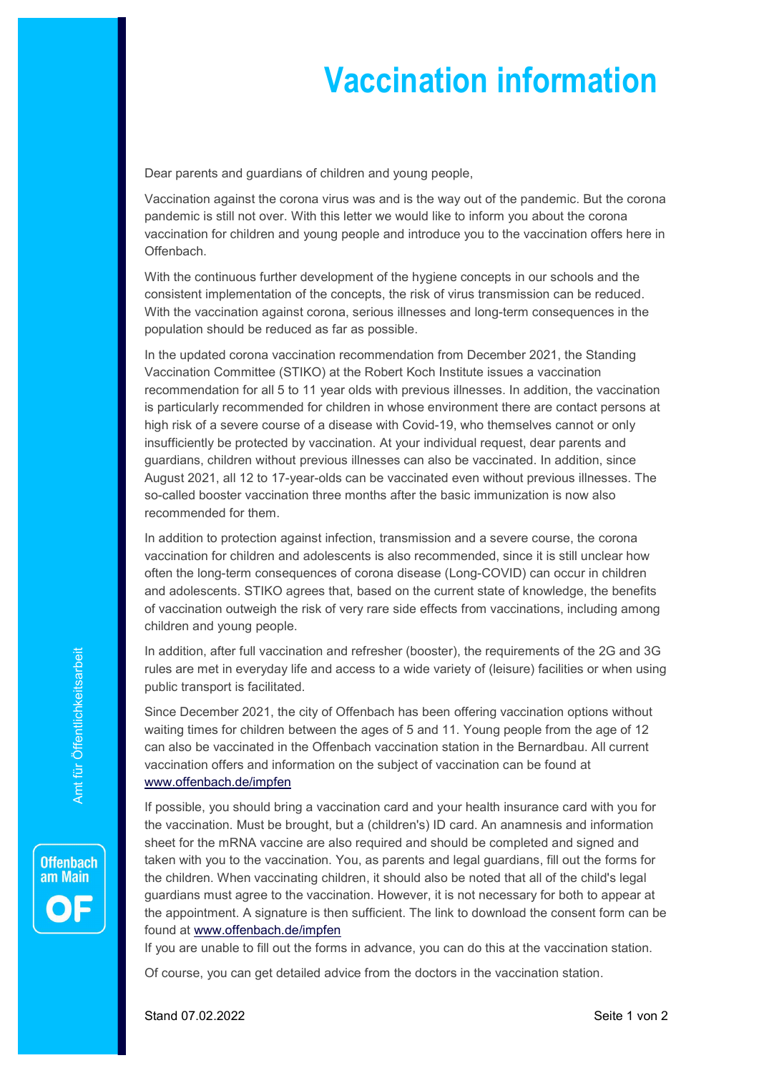## Vaccination information

Dear parents and guardians of children and young people,

Vaccination against the corona virus was and is the way out of the pandemic. But the corona pandemic is still not over. With this letter we would like to inform you about the corona vaccination for children and young people and introduce you to the vaccination offers here in Offenbach.

With the continuous further development of the hygiene concepts in our schools and the consistent implementation of the concepts, the risk of virus transmission can be reduced. With the vaccination against corona, serious illnesses and long-term consequences in the population should be reduced as far as possible.

In the updated corona vaccination recommendation from December 2021, the Standing Vaccination Committee (STIKO) at the Robert Koch Institute issues a vaccination recommendation for all 5 to 11 year olds with previous illnesses. In addition, the vaccination is particularly recommended for children in whose environment there are contact persons at high risk of a severe course of a disease with Covid-19, who themselves cannot or only insufficiently be protected by vaccination. At your individual request, dear parents and guardians, children without previous illnesses can also be vaccinated. In addition, since August 2021, all 12 to 17-year-olds can be vaccinated even without previous illnesses. The so-called booster vaccination three months after the basic immunization is now also recommended for them.

In addition to protection against infection, transmission and a severe course, the corona vaccination for children and adolescents is also recommended, since it is still unclear how often the long-term consequences of corona disease (Long-COVID) can occur in children and adolescents. STIKO agrees that, based on the current state of knowledge, the benefits of vaccination outweigh the risk of very rare side effects from vaccinations, including among children and young people.

In addition, after full vaccination and refresher (booster), the requirements of the 2G and 3G rules are met in everyday life and access to a wide variety of (leisure) facilities or when using public transport is facilitated.

Since December 2021, the city of Offenbach has been offering vaccination options without waiting times for children between the ages of 5 and 11. Young people from the age of 12 can also be vaccinated in the Offenbach vaccination station in the Bernardbau. All current vaccination offers and information on the subject of vaccination can be found at www.offenbach.de/impfen

In addition, after full vaccination and refresher (booster), the requirements of the 2G and 3G<br>
rules are met in everyday life and access to a wide variety of (leisure) facilities or when using<br>
sublic transport is facilit If possible, you should bring a vaccination card and your health insurance card with you for the vaccination. Must be brought, but a (children's) ID card. An anamnesis and information sheet for the mRNA vaccine are also required and should be completed and signed and taken with you to the vaccination. You, as parents and legal guardians, fill out the forms for the children. When vaccinating children, it should also be noted that all of the child's legal guardians must agree to the vaccination. However, it is not necessary for both to appear at the appointment. A signature is then sufficient. The link to download the consent form can be found at www.offenbach.de/impfen

If you are unable to fill out the forms in advance, you can do this at the vaccination station.

Of course, you can get detailed advice from the doctors in the vaccination station.